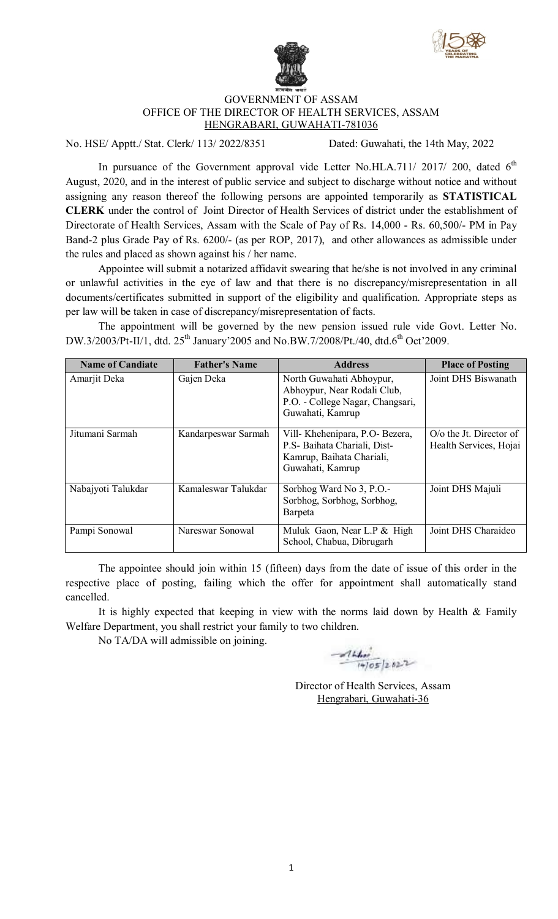



## GOVERNMENT OF ASSAM OFFICE OF THE DIRECTOR OF HEALTH SERVICES, ASSAM HENGRABARI, GUWAHATI-781036

No. HSE/ Apptt./ Stat. Clerk/ 113/ 2022/8351 Dated: Guwahati, the 14th May, 2022

In pursuance of the Government approval vide Letter No.HLA.711/ 2017/ 200, dated  $6<sup>th</sup>$ August, 2020, and in the interest of public service and subject to discharge without notice and without assigning any reason thereof the following persons are appointed temporarily as **STATISTICAL CLERK** under the control of Joint Director of Health Services of district under the establishment of Directorate of Health Services, Assam with the Scale of Pay of Rs. 14,000 - Rs. 60,500/- PM in Pay Band-2 plus Grade Pay of Rs. 6200/- (as per ROP, 2017), and other allowances as admissible under the rules and placed as shown against his / her name.

Appointee will submit a notarized affidavit swearing that he/she is not involved in any criminal or unlawful activities in the eye of law and that there is no discrepancy/misrepresentation in all documents/certificates submitted in support of the eligibility and qualification. Appropriate steps as per law will be taken in case of discrepancy/misrepresentation of facts.

The appointment will be governed by the new pension issued rule vide Govt. Letter No. DW.3/2003/Pt-II/1, dtd. 25<sup>th</sup> January'2005 and No.BW.7/2008/Pt./40, dtd.6<sup>th</sup> Oct'2009.

| <b>Name of Candiate</b> | <b>Father's Name</b> | <b>Address</b>                                                                                                  | <b>Place of Posting</b>                                      |
|-------------------------|----------------------|-----------------------------------------------------------------------------------------------------------------|--------------------------------------------------------------|
| Amarjit Deka            | Gajen Deka           | North Guwahati Abhoypur,<br>Abhoypur, Near Rodali Club,<br>P.O. - College Nagar, Changsari,<br>Guwahati, Kamrup | Joint DHS Biswanath                                          |
| Jitumani Sarmah         | Kandarpeswar Sarmah  | Vill-Khehenipara, P.O-Bezera,<br>P.S - Baihata Chariali, Dist-<br>Kamrup, Baihata Chariali,<br>Guwahati, Kamrup | $O$ / $\alpha$ the Jt. Director of<br>Health Services, Hojai |
| Nabajyoti Talukdar      | Kamaleswar Talukdar  | Sorbhog Ward No 3, P.O.-<br>Sorbhog, Sorbhog, Sorbhog,<br>Barpeta                                               | Joint DHS Majuli                                             |
| Pampi Sonowal           | Nareswar Sonowal     | Muluk Gaon, Near L.P & High<br>School, Chabua, Dibrugarh                                                        | Joint DHS Charaideo                                          |

The appointee should join within 15 (fifteen) days from the date of issue of this order in the respective place of posting, failing which the offer for appointment shall automatically stand cancelled.

It is highly expected that keeping in view with the norms laid down by Health  $\&$  Family Welfare Department, you shall restrict your family to two children.

No TA/DA will admissible on joining.

 $41405/2822$ 

Director of Health Services, Assam Hengrabari, Guwahati-36